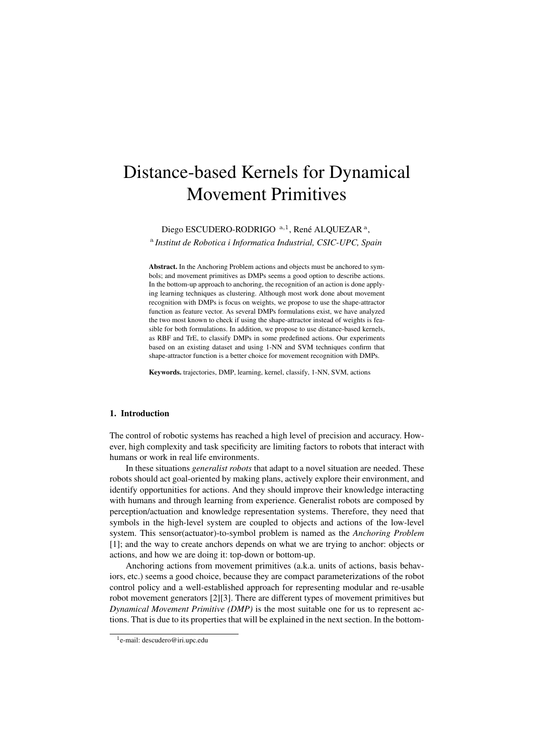# Distance-based Kernels for Dynamical Movement Primitives

Diego ESCUDERO-RODRIGO a,1, René ALQUEZAR<sup>a</sup>,

a *Institut de Robotica i Informatica Industrial, CSIC-UPC, Spain*

Abstract. In the Anchoring Problem actions and objects must be anchored to symbols; and movement primitives as DMPs seems a good option to describe actions. In the bottom-up approach to anchoring, the recognition of an action is done applying learning techniques as clustering. Although most work done about movement recognition with DMPs is focus on weights, we propose to use the shape-attractor function as feature vector. As several DMPs formulations exist, we have analyzed the two most known to check if using the shape-attractor instead of weights is feasible for both formulations. In addition, we propose to use distance-based kernels, as RBF and TrE, to classify DMPs in some predefined actions. Our experiments based on an existing dataset and using 1-NN and SVM techniques confirm that shape-attractor function is a better choice for movement recognition with DMPs.

Keywords. trajectories, DMP, learning, kernel, classify, 1-NN, SVM, actions

## 1. Introduction

The control of robotic systems has reached a high level of precision and accuracy. However, high complexity and task specificity are limiting factors to robots that interact with humans or work in real life environments.

In these situations *generalist robots* that adapt to a novel situation are needed. These robots should act goal-oriented by making plans, actively explore their environment, and identify opportunities for actions. And they should improve their knowledge interacting with humans and through learning from experience. Generalist robots are composed by perception/actuation and knowledge representation systems. Therefore, they need that symbols in the high-level system are coupled to objects and actions of the low-level system. This sensor(actuator)-to-symbol problem is named as the *Anchoring Problem* [1]; and the way to create anchors depends on what we are trying to anchor: objects or actions, and how we are doing it: top-down or bottom-up.

Anchoring actions from movement primitives (a.k.a. units of actions, basis behaviors, etc.) seems a good choice, because they are compact parameterizations of the robot control policy and a well-established approach for representing modular and re-usable robot movement generators [2][3]. There are different types of movement primitives but *Dynamical Movement Primitive (DMP)* is the most suitable one for us to represent actions. That is due to its properties that will be explained in the next section. In the bottom-

<sup>1</sup> e-mail: descudero@iri.upc.edu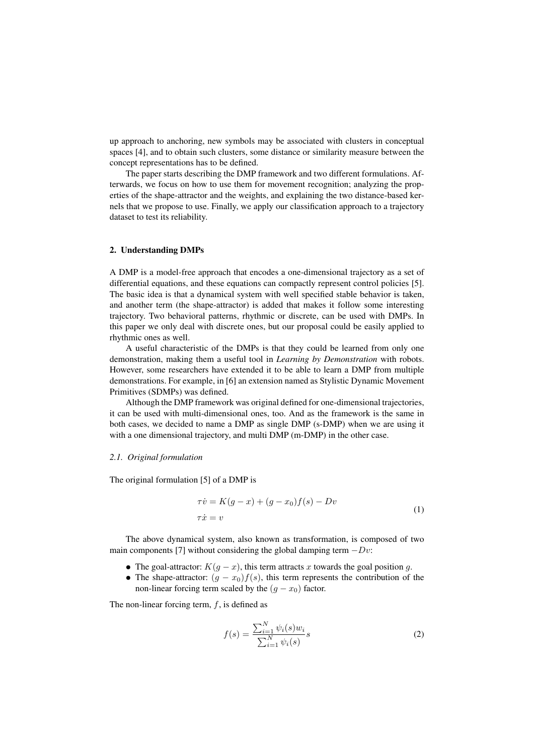up approach to anchoring, new symbols may be associated with clusters in conceptual spaces [4], and to obtain such clusters, some distance or similarity measure between the concept representations has to be defined.

The paper starts describing the DMP framework and two different formulations. Afterwards, we focus on how to use them for movement recognition; analyzing the properties of the shape-attractor and the weights, and explaining the two distance-based kernels that we propose to use. Finally, we apply our classification approach to a trajectory dataset to test its reliability.

## 2. Understanding DMPs

A DMP is a model-free approach that encodes a one-dimensional trajectory as a set of differential equations, and these equations can compactly represent control policies [5]. The basic idea is that a dynamical system with well specified stable behavior is taken, and another term (the shape-attractor) is added that makes it follow some interesting trajectory. Two behavioral patterns, rhythmic or discrete, can be used with DMPs. In this paper we only deal with discrete ones, but our proposal could be easily applied to rhythmic ones as well.

A useful characteristic of the DMPs is that they could be learned from only one demonstration, making them a useful tool in *Learning by Demonstration* with robots. However, some researchers have extended it to be able to learn a DMP from multiple demonstrations. For example, in [6] an extension named as Stylistic Dynamic Movement Primitives (SDMPs) was defined.

Although the DMP framework was original defined for one-dimensional trajectories, it can be used with multi-dimensional ones, too. And as the framework is the same in both cases, we decided to name a DMP as single DMP (s-DMP) when we are using it with a one dimensional trajectory, and multi DMP (m-DMP) in the other case.

#### *2.1. Original formulation*

The original formulation [5] of a DMP is

$$
\tau \dot{v} = K(g - x) + (g - x_0)f(s) - Dv
$$
  
\n
$$
\tau \dot{x} = v
$$
\n(1)

The above dynamical system, also known as transformation, is composed of two main components [7] without considering the global damping term  $-Dv$ :

- The goal-attractor:  $K(g x)$ , this term attracts x towards the goal position g.
- The shape-attractor:  $(g x_0)f(s)$ , this term represents the contribution of the non-linear forcing term scaled by the  $(g - x_0)$  factor.

The non-linear forcing term,  $f$ , is defined as

$$
f(s) = \frac{\sum_{i=1}^{N} \psi_i(s) w_i}{\sum_{i=1}^{N} \psi_i(s)} s
$$
 (2)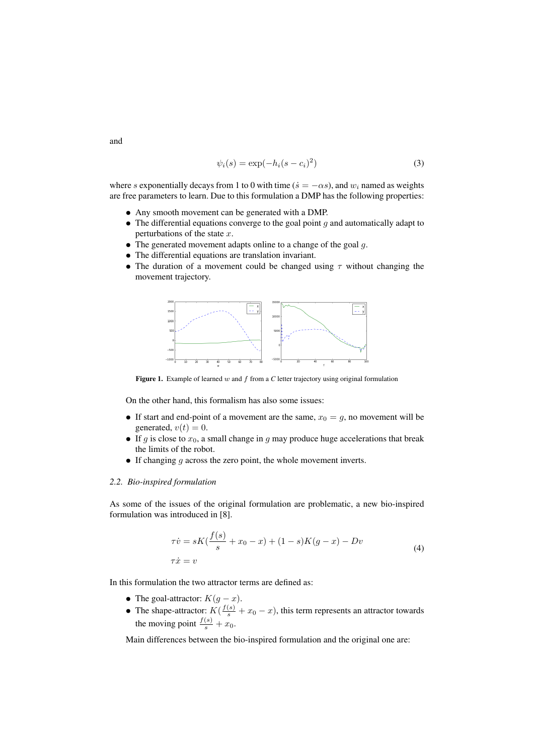$$
\psi_i(s) = \exp(-h_i(s - c_i)^2) \tag{3}
$$

where s exponentially decays from 1 to 0 with time ( $\dot{s} = -\alpha s$ ), and  $w_i$  named as weights are free parameters to learn. Due to this formulation a DMP has the following properties:

- Any smooth movement can be generated with a DMP.
- The differential equations converge to the goal point  $q$  and automatically adapt to perturbations of the state  $x$ .
- $\bullet$  The generated movement adapts online to a change of the goal  $g$ .
- The differential equations are translation invariant.
- The duration of a movement could be changed using  $\tau$  without changing the movement trajectory.



Figure 1. Example of learned w and f from a C letter trajectory using original formulation

On the other hand, this formalism has also some issues:

- If start and end-point of a movement are the same,  $x_0 = g$ , no movement will be generated,  $v(t) = 0$ .
- If q is close to  $x_0$ , a small change in q may produce huge accelerations that break the limits of the robot.
- If changing  $g$  across the zero point, the whole movement inverts.

#### *2.2. Bio-inspired formulation*

As some of the issues of the original formulation are problematic, a new bio-inspired formulation was introduced in [8].

$$
\tau \dot{v} = sK(\frac{f(s)}{s} + x_0 - x) + (1 - s)K(g - x) - Dv
$$
  
\n
$$
\tau \dot{x} = v
$$
\n(4)

In this formulation the two attractor terms are defined as:

- The goal-attractor:  $K(g x)$ .
- The shape-attractor:  $K(\frac{f(s)}{s} + x_0 x)$ , this term represents an attractor towards the moving point  $\frac{f(s)}{s} + x_0$ .

Main differences between the bio-inspired formulation and the original one are:

and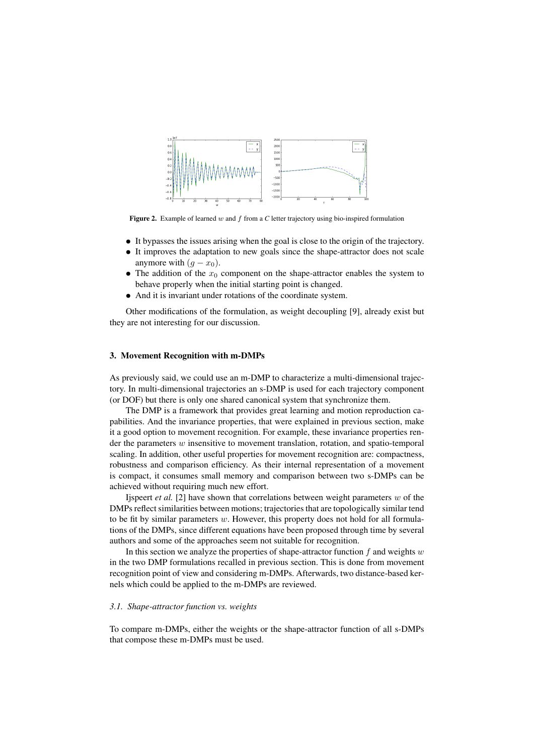

Figure 2. Example of learned  $w$  and  $f$  from a  $C$  letter trajectory using bio-inspired formulation

- It bypasses the issues arising when the goal is close to the origin of the trajectory.
- It improves the adaptation to new goals since the shape-attractor does not scale anymore with  $(q - x_0)$ .
- The addition of the  $x_0$  component on the shape-attractor enables the system to behave properly when the initial starting point is changed.
- And it is invariant under rotations of the coordinate system.

Other modifications of the formulation, as weight decoupling [9], already exist but they are not interesting for our discussion.

#### 3. Movement Recognition with m-DMPs

As previously said, we could use an m-DMP to characterize a multi-dimensional trajectory. In multi-dimensional trajectories an s-DMP is used for each trajectory component (or DOF) but there is only one shared canonical system that synchronize them.

The DMP is a framework that provides great learning and motion reproduction capabilities. And the invariance properties, that were explained in previous section, make it a good option to movement recognition. For example, these invariance properties render the parameters  $w$  insensitive to movement translation, rotation, and spatio-temporal scaling. In addition, other useful properties for movement recognition are: compactness, robustness and comparison efficiency. As their internal representation of a movement is compact, it consumes small memory and comparison between two s-DMPs can be achieved without requiring much new effort.

Ispeert *et al.* [2] have shown that correlations between weight parameters  $w$  of the DMPs reflect similarities between motions; trajectories that are topologically similar tend to be fit by similar parameters  $w$ . However, this property does not hold for all formulations of the DMPs, since different equations have been proposed through time by several authors and some of the approaches seem not suitable for recognition.

In this section we analyze the properties of shape-attractor function  $f$  and weights  $w$ in the two DMP formulations recalled in previous section. This is done from movement recognition point of view and considering m-DMPs. Afterwards, two distance-based kernels which could be applied to the m-DMPs are reviewed.

# *3.1. Shape-attractor function vs. weights*

To compare m-DMPs, either the weights or the shape-attractor function of all s-DMPs that compose these m-DMPs must be used.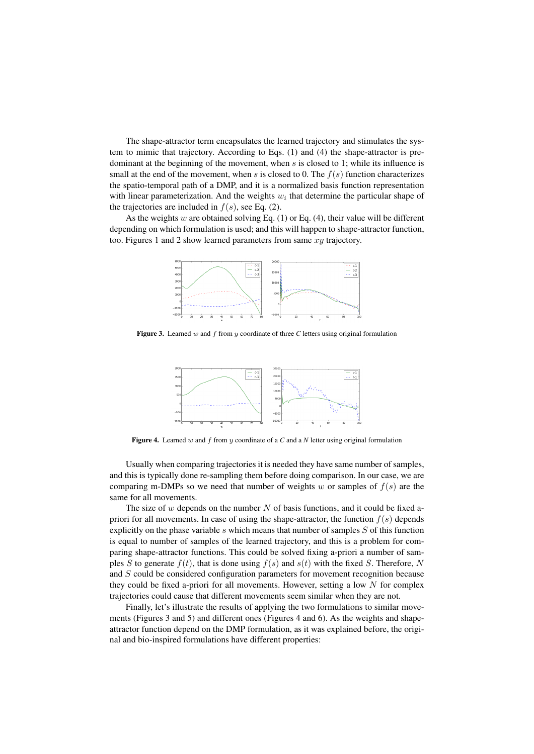The shape-attractor term encapsulates the learned trajectory and stimulates the system to mimic that trajectory. According to Eqs. (1) and (4) the shape-attractor is predominant at the beginning of the movement, when s is closed to 1; while its influence is small at the end of the movement, when s is closed to 0. The  $f(s)$  function characterizes the spatio-temporal path of a DMP, and it is a normalized basis function representation with linear parameterization. And the weights  $w_i$  that determine the particular shape of the trajectories are included in  $f(s)$ , see Eq. (2).

As the weights w are obtained solving Eq. (1) or Eq. (4), their value will be different depending on which formulation is used; and this will happen to shape-attractor function, too. Figures 1 and 2 show learned parameters from same  $xy$  trajectory.



Figure 3. Learned  $w$  and  $f$  from  $y$  coordinate of three  $C$  letters using original formulation



Figure 4. Learned w and f from y coordinate of a C and a N letter using original formulation

Usually when comparing trajectories it is needed they have same number of samples, and this is typically done re-sampling them before doing comparison. In our case, we are comparing m-DMPs so we need that number of weights w or samples of  $f(s)$  are the same for all movements.

The size of w depends on the number N of basis functions, and it could be fixed apriori for all movements. In case of using the shape-attractor, the function  $f(s)$  depends explicitly on the phase variable s which means that number of samples  $S$  of this function is equal to number of samples of the learned trajectory, and this is a problem for comparing shape-attractor functions. This could be solved fixing a-priori a number of samples S to generate  $f(t)$ , that is done using  $f(s)$  and  $s(t)$  with the fixed S. Therefore, N and S could be considered configuration parameters for movement recognition because they could be fixed a-priori for all movements. However, setting a low  $N$  for complex trajectories could cause that different movements seem similar when they are not.

Finally, let's illustrate the results of applying the two formulations to similar movements (Figures 3 and 5) and different ones (Figures 4 and 6). As the weights and shapeattractor function depend on the DMP formulation, as it was explained before, the original and bio-inspired formulations have different properties: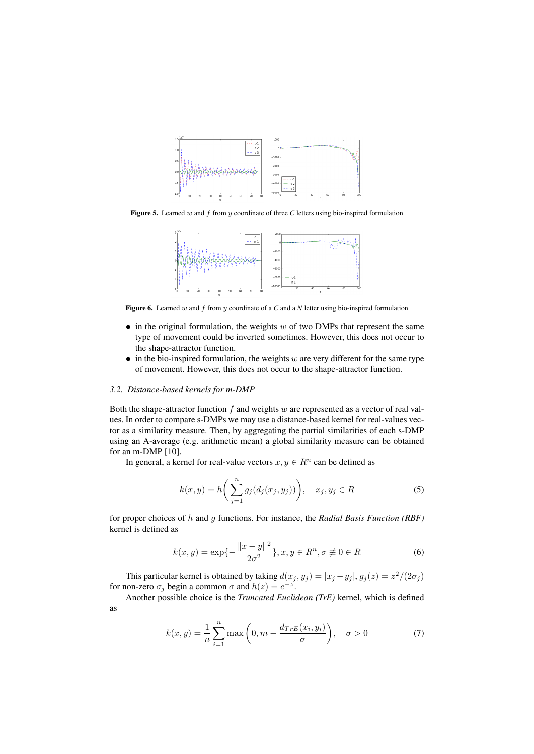

Figure 5. Learned w and f from y coordinate of three C letters using bio-inspired formulation



Figure 6. Learned w and f from y coordinate of a *C* and a *N* letter using bio-inspired formulation

- $\bullet$  in the original formulation, the weights w of two DMPs that represent the same type of movement could be inverted sometimes. However, this does not occur to the shape-attractor function.
- $\bullet$  in the bio-inspired formulation, the weights w are very different for the same type of movement. However, this does not occur to the shape-attractor function.

#### *3.2. Distance-based kernels for m-DMP*

Both the shape-attractor function f and weights w are represented as a vector of real values. In order to compare s-DMPs we may use a distance-based kernel for real-values vector as a similarity measure. Then, by aggregating the partial similarities of each s-DMP using an A-average (e.g. arithmetic mean) a global similarity measure can be obtained for an m-DMP [10].

In general, a kernel for real-value vectors  $x, y \in \mathbb{R}^n$  can be defined as

$$
k(x,y) = h\left(\sum_{j=1}^{n} g_j(d_j(x_j, y_j))\right), \quad x_j, y_j \in R
$$
\n<sup>(5)</sup>

for proper choices of h and g functions. For instance, the *Radial Basis Function (RBF)* kernel is defined as

$$
k(x, y) = \exp\{-\frac{||x - y||^2}{2\sigma^2}\}, x, y \in R^n, \sigma \neq 0 \in R
$$
 (6)

This particular kernel is obtained by taking  $d(x_j, y_j) = |x_j - y_j|, g_j(z) = z^2/(2\sigma_j)$ for non-zero  $\sigma_j$  begin a common  $\sigma$  and  $h(z) = e^{-z}$ .

Another possible choice is the *Truncated Euclidean (TrE)* kernel, which is defined as

$$
k(x,y) = \frac{1}{n} \sum_{i=1}^{n} \max\left(0, m - \frac{d_{TrE}(x_i, y_i)}{\sigma}\right), \quad \sigma > 0
$$
 (7)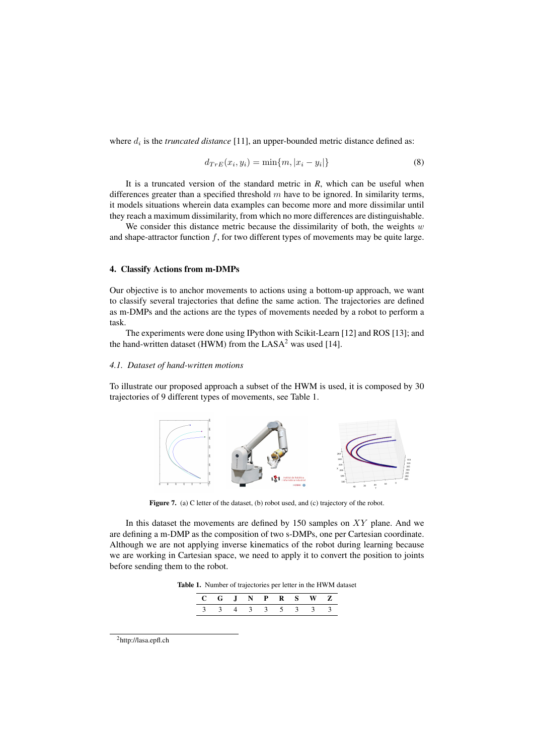where  $d_i$  is the *truncated distance* [11], an upper-bounded metric distance defined as:

$$
d_{TrE}(x_i, y_i) = \min\{m, |x_i - y_i|\}\tag{8}
$$

It is a truncated version of the standard metric in *R*, which can be useful when differences greater than a specified threshold  $m$  have to be ignored. In similarity terms, it models situations wherein data examples can become more and more dissimilar until they reach a maximum dissimilarity, from which no more differences are distinguishable.

We consider this distance metric because the dissimilarity of both, the weights  $w$ and shape-attractor function  $f$ , for two different types of movements may be quite large.

# 4. Classify Actions from m-DMPs

Our objective is to anchor movements to actions using a bottom-up approach, we want to classify several trajectories that define the same action. The trajectories are defined as m-DMPs and the actions are the types of movements needed by a robot to perform a task.

The experiments were done using IPython with Scikit-Learn [12] and ROS [13]; and the hand-written dataset (HWM) from the LASA<sup>2</sup> was used [14].

### *4.1. Dataset of hand-written motions*

To illustrate our proposed approach a subset of the HWM is used, it is composed by 30 trajectories of 9 different types of movements, see Table 1.



Figure 7. (a) C letter of the dataset, (b) robot used, and (c) trajectory of the robot.

In this dataset the movements are defined by  $150$  samples on  $XY$  plane. And we are defining a m-DMP as the composition of two s-DMPs, one per Cartesian coordinate. Although we are not applying inverse kinematics of the robot during learning because we are working in Cartesian space, we need to apply it to convert the position to joints before sending them to the robot.

Table 1. Number of trajectories per letter in the HWM dataset

|  | $\blacksquare$ |  |  |  |
|--|----------------|--|--|--|
|  |                |  |  |  |

<sup>2</sup>http://lasa.epfl.ch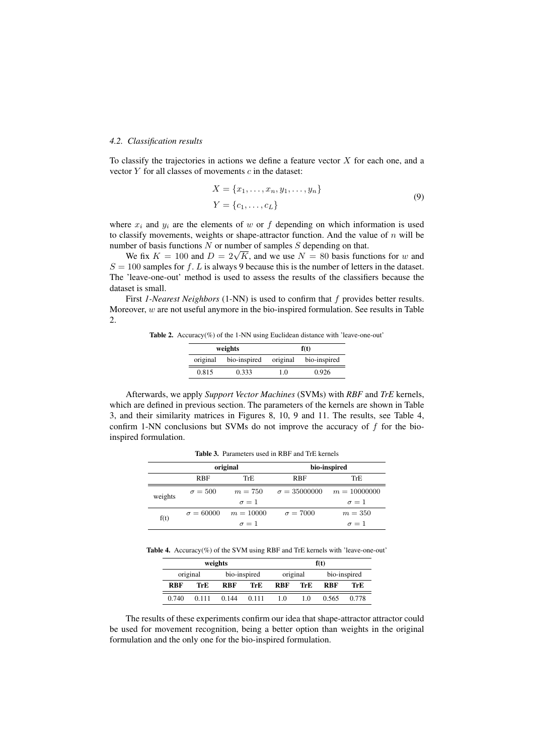## *4.2. Classification results*

To classify the trajectories in actions we define a feature vector  $X$  for each one, and a vector  $Y$  for all classes of movements  $c$  in the dataset:

$$
X = \{x_1, \dots, x_n, y_1, \dots, y_n\}
$$
  
\n
$$
Y = \{c_1, \dots, c_L\}
$$
 (9)

where  $x_i$  and  $y_i$  are the elements of w or f depending on which information is used to classify movements, weights or shape-attractor function. And the value of  $n$  will be number of basis functions  $N$  or number of samples  $S$  depending on that.

ber or basis functions *N* or number or samples *S* depending on that.<br>We fix  $K = 100$  and  $D = 2\sqrt{K}$ , and we use  $N = 80$  basis functions for w and  $S = 100$  samples for f. L is always 9 because this is the number of letters in the dataset. The 'leave-one-out' method is used to assess the results of the classifiers because the dataset is small.

First *1-Nearest Neighbors* (1-NN) is used to confirm that f provides better results. Moreover,  $w$  are not useful anymore in the bio-inspired formulation. See results in Table  $2^{\circ}$ 

**Table 2.** Accuracy(%) of the 1-NN using Euclidean distance with 'leave-one-out'

|          | weights      | f(t)     |              |  |  |
|----------|--------------|----------|--------------|--|--|
| original | bio-inspired | original | bio-inspired |  |  |
| 0.815    | 0.333        | 1.0      | 0.926        |  |  |

Afterwards, we apply *Support Vector Machines* (SVMs) with *RBF* and *TrE* kernels, which are defined in previous section. The parameters of the kernels are shown in Table 3, and their similarity matrices in Figures 8, 10, 9 and 11. The results, see Table 4, confirm 1-NN conclusions but SVMs do not improve the accuracy of  $f$  for the bioinspired formulation.

|         |                  | original     | bio-inspired        |                |  |
|---------|------------------|--------------|---------------------|----------------|--|
|         | <b>RBF</b>       | TrE.         | <b>RBF</b>          | TrE            |  |
| weights | $\sigma = 500$   | $m = 750$    | $\sigma = 35000000$ | $m = 10000000$ |  |
|         |                  | $\sigma = 1$ |                     | $\sigma = 1$   |  |
| f(t)    | $\sigma = 60000$ | $m = 10000$  | $\sigma = 7000$     | $m = 350$      |  |
|         |                  | $\sigma = 1$ |                     | $\sigma = 1$   |  |

Table 3. Parameters used in RBF and TrE kernels

Table 4. Accuracy(%) of the SVM using RBF and TrE kernels with 'leave-one-out'

| weights  |       |              |       | f(t)       |     |              |       |
|----------|-------|--------------|-------|------------|-----|--------------|-------|
| original |       | bio-inspired |       | original   |     | bio-inspired |       |
| RBF      | TrE.  | <b>RBF</b>   | TrE   | <b>RBF</b> | TrE | <b>RBF</b>   | TrE   |
| 0.740    | 0.111 | 0.144        | 0.111 | 10         | 10  | 0.565        | 0.778 |

The results of these experiments confirm our idea that shape-attractor attractor could be used for movement recognition, being a better option than weights in the original formulation and the only one for the bio-inspired formulation.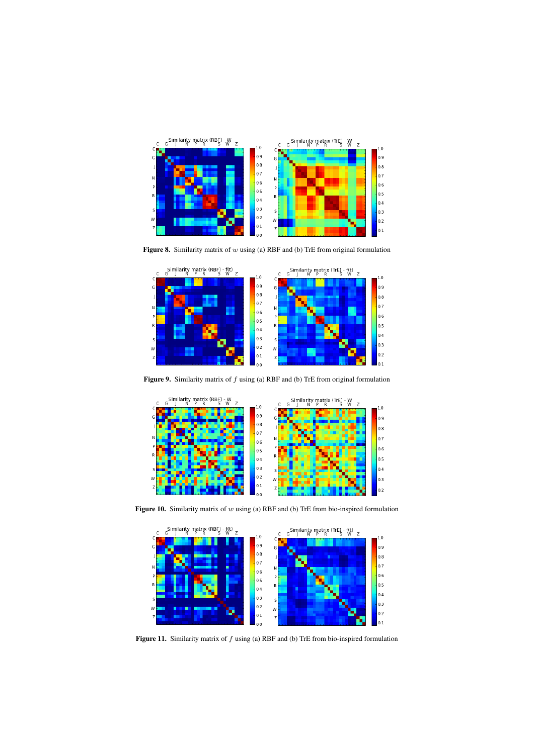

Figure 8. Similarity matrix of  $w$  using (a) RBF and (b) TrE from original formulation



Figure 9. Similarity matrix of  $f$  using (a) RBF and (b) TrE from original formulation



Figure 10. Similarity matrix of  $w$  using (a) RBF and (b) TrE from bio-inspired formulation



Figure 11. Similarity matrix of  $f$  using (a) RBF and (b) TrE from bio-inspired formulation